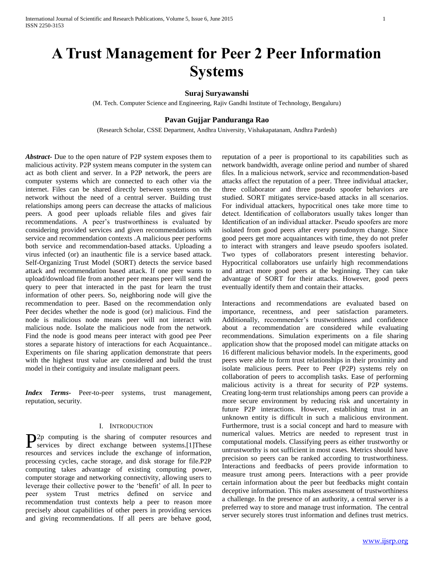# **A Trust Management for Peer 2 Peer Information Systems**

# **Suraj Suryawanshi**

(M. Tech. Computer Science and Engineering, Rajiv Gandhi Institute of Technology, Bengaluru)

# **Pavan Gujjar Panduranga Rao**

(Research Scholar, CSSE Department, Andhra University, Vishakapatanam, Andhra Pardesh)

*Abstract***-** Due to the open nature of P2P system exposes them to malicious activity. P2P system means computer in the system can act as both client and server. In a P2P network, the peers are computer systems which are connected to each other via the internet. Files can be shared directly between systems on the network without the need of a central server. Building trust relationships among peers can decrease the attacks of malicious peers. A good peer uploads reliable files and gives fair recommendations. A peer's trustworthiness is evaluated by considering provided services and given recommendations with service and recommendation contexts .A malicious peer performs both service and recommendation-based attacks. Uploading a virus infected (or) an inauthentic file is a service based attack. Self-Organizing Trust Model (SORT) detects the service based attack and recommendation based attack. If one peer wants to upload/download file from another peer means peer will send the query to peer that interacted in the past for learn the trust information of other peers. So, neighboring node will give the recommendation to peer. Based on the recommendation only Peer decides whether the node is good (or) malicious. Find the node is malicious node means peer will not interact with malicious node. Isolate the malicious node from the network. Find the node is good means peer interact with good pee Peer stores a separate history of interactions for each Acquaintance.. Experiments on file sharing application demonstrate that peers with the highest trust value are considered and build the trust model in their contiguity and insulate malignant peers.

*Index Terms***-** Peer-to-peer systems, trust management, reputation, security.

# I. INTRODUCTION

2p computing is the sharing of computer resources and P<sub>2p</sub> computing is the sharing of computer resources and services by direct exchange between systems.[1]These resources and services include the exchange of information, processing cycles, cache storage, and disk storage for file.P2P computing takes advantage of existing computing power, computer storage and networking connectivity, allowing users to leverage their collective power to the 'benefit' of all. In peer to peer system Trust metrics defined on service and recommendation trust contexts help a peer to reason more precisely about capabilities of other peers in providing services and giving recommendations. If all peers are behave good,

reputation of a peer is proportional to its capabilities such as network bandwidth, average online period and number of shared files. In a malicious network, service and recommendation-based attacks affect the reputation of a peer. Three individual attacker, three collaborator and three pseudo spoofer behaviors are studied. SORT mitigates service-based attacks in all scenarios. For individual attackers, hypocritical ones take more time to detect. Identification of collaborators usually takes longer than Identification of an individual attacker. Pseudo spoofers are more isolated from good peers after every pseudonym change. Since good peers get more acquaintances with time, they do not prefer to interact with strangers and leave pseudo spoofers isolated. Two types of collaborators present interesting behavior. Hypocritical collaborators use unfairly high recommendations and attract more good peers at the beginning. They can take advantage of SORT for their attacks. However, good peers eventually identify them and contain their attacks.

Interactions and recommendations are evaluated based on importance, recentness, and peer satisfaction parameters. Additionally, recommender's trustworthiness and confidence about a recommendation are considered while evaluating recommendations. Simulation experiments on a file sharing application show that the proposed model can mitigate attacks on 16 different malicious behavior models. In the experiments, good peers were able to form trust relationships in their proximity and isolate malicious peers. Peer to Peer (P2P) systems rely on collaboration of peers to accomplish tasks. Ease of performing malicious activity is a threat for security of P2P systems. Creating long-term trust relationships among peers can provide a more secure environment by reducing risk and uncertainty in future P2P interactions. However, establishing trust in an unknown entity is difficult in such a malicious environment. Furthermore, trust is a social concept and hard to measure with numerical values. Metrics are needed to represent trust in computational models. Classifying peers as either trustworthy or untrustworthy is not sufficient in most cases. Metrics should have precision so peers can be ranked according to trustworthiness. Interactions and feedbacks of peers provide information to measure trust among peers. Interactions with a peer provide certain information about the peer but feedbacks might contain deceptive information. This makes assessment of trustworthiness a challenge. In the presence of an authority, a central server is a preferred way to store and manage trust information. The central server securely stores trust information and defines trust metrics.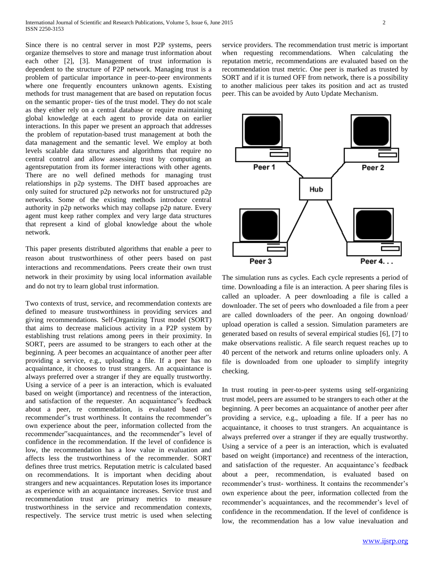Since there is no central server in most P2P systems, peers organize themselves to store and manage trust information about each other [2], [3]. Management of trust information is dependent to the structure of P2P network. Managing trust is a problem of particular importance in peer-to-peer environments where one frequently encounters unknown agents. Existing methods for trust management that are based on reputation focus on the semantic proper- ties of the trust model. They do not scale as they either rely on a central database or require maintaining global knowledge at each agent to provide data on earlier interactions. In this paper we present an approach that addresses the problem of reputation-based trust management at both the data management and the semantic level. We employ at both levels scalable data structures and algorithms that require no central control and allow assessing trust by computing an agentsreputation from its former interactions with other agents. There are no well defined methods for managing trust relationships in p2p systems. The DHT based approaches are only suited for structured p2p networks not for unstructured p2p networks. Some of the existing methods introduce central authority in p2p networks which may collapse p2p nature. Every agent must keep rather complex and very large data structures that represent a kind of global knowledge about the whole network.

This paper presents distributed algorithms that enable a peer to reason about trustworthiness of other peers based on past interactions and recommendations. Peers create their own trust network in their proximity by using local information available and do not try to learn global trust information.

Two contexts of trust, service, and recommendation contexts are defined to measure trustworthiness in providing services and giving recommendations. Self-Organizing Trust model (SORT) that aims to decrease malicious activity in a P2P system by establishing trust relations among peers in their proximity. In SORT, peers are assumed to be strangers to each other at the beginning. A peer becomes an acquaintance of another peer after providing a service, e.g., uploading a file. If a peer has no acquaintance, it chooses to trust strangers. An acquaintance is always preferred over a stranger if they are equally trustworthy. Using a service of a peer is an interaction, which is evaluated based on weight (importance) and recentness of the interaction, and satisfaction of the requester. An acquaintance"s feedback about a peer, re commendation, is evaluated based on recommender"s trust worthiness. It contains the recommender"s own experience about the peer, information collected from the recommender"sacquaintances, and the recommender"s level of confidence in the recommendation. If the level of confidence is low, the recommendation has a low value in evaluation and affects less the trustworthiness of the recommender. SORT defines three trust metrics. Reputation metric is calculated based on recommendations. It is important when deciding about strangers and new acquaintances. Reputation loses its importance as experience with an acquaintance increases. Service trust and recommendation trust are primary metrics to measure trustworthiness in the service and recommendation contexts, respectively. The service trust metric is used when selecting service providers. The recommendation trust metric is important when requesting recommendations. When calculating the reputation metric, recommendations are evaluated based on the recommendation trust metric. One peer is marked as trusted by SORT and if it is turned OFF from network, there is a possibility to another malicious peer takes its position and act as trusted peer. This can be avoided by Auto Update Mechanism.



The simulation runs as cycles. Each cycle represents a period of time. Downloading a file is an interaction. A peer sharing files is called an uploader. A peer downloading a file is called a downloader. The set of peers who downloaded a file from a peer are called downloaders of the peer. An ongoing download/ upload operation is called a session. Simulation parameters are generated based on results of several empirical studies [6], [7] to make observations realistic. A file search request reaches up to 40 percent of the network and returns online uploaders only. A file is downloaded from one uploader to simplify integrity checking.

In trust routing in peer-to-peer systems using self-organizing trust model, peers are assumed to be strangers to each other at the beginning. A peer becomes an acquaintance of another peer after providing a service, e.g., uploading a file. If a peer has no acquaintance, it chooses to trust strangers. An acquaintance is always preferred over a stranger if they are equally trustworthy. Using a service of a peer is an interaction, which is evaluated based on weight (importance) and recentness of the interaction, and satisfaction of the requester. An acquaintance's feedback about a peer, recommendation, is evaluated based on recommender's trust- worthiness. It contains the recommender's own experience about the peer, information collected from the recommender's acquaintances, and the recommender's level of confidence in the recommendation. If the level of confidence is low, the recommendation has a low value inevaluation and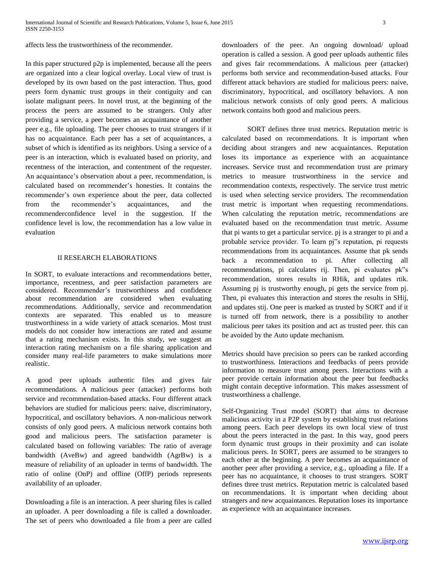affects less the trustworthiness of the recommender.

In this paper structured p2p is implemented, because all the peers are organized into a clear logical overlay. Local view of trust is developed by its own based on the past interaction. Thus, good peers form dynamic trust groups in their contiguity and can isolate malignant peers. In novel trust, at the beginning of the process the peers are assumed to be strangers. Only after providing a service, a peer becomes an acquaintance of another peer e.g., file uploading. The peer chooses to trust strangers if it has no acquaintance. Each peer has a set of acquaintances, a subset of which is identified as its neighbors. Using a service of a peer is an interaction, which is evaluated based on priority, and recentness of the interaction, and contentment of the requester. An acquaintance's observation about a peer, recommendation, is calculated based on recommender's honesties. It contains the recommender's own experience about the peer, data collected from the recommender's acquaintances, and the recommenderconfidence level in the suggestion. If the confidence level is low, the recommendation has a low value in evaluation

## II RESEARCH ELABORATIONS

In SORT, to evaluate interactions and recommendations better, importance, recentness, and peer satisfaction parameters are considered. Recommender's trustworthiness and confidence about recommendation are considered when evaluating recommendations. Additionally, service and recommendation contexts are separated. This enabled us to measure trustworthiness in a wide variety of attack scenarios. Most trust models do not consider how interactions are rated and assume that a rating mechanism exists. In this study, we suggest an interaction rating mechanism on a file sharing application and consider many real-life parameters to make simulations more realistic.

A good peer uploads authentic files and gives fair recommendations. A malicious peer (attacker) performs both service and recommendation-based attacks. Four different attack behaviors are studied for malicious peers: naive, discriminatory, hypocritical, and oscillatory behaviors. A non-malicious network consists of only good peers. A malicious network contains both good and malicious peers. The satisfaction parameter is calculated based on following variables: The ratio of average bandwidth (AveBw) and agreed bandwidth (AgrBw) is a measure of reliability of an uploader in terms of bandwidth. The ratio of online (OnP) and offline (OffP) periods represents availability of an uploader.

Downloading a file is an interaction. A peer sharing files is called an uploader. A peer downloading a file is called a downloader. The set of peers who downloaded a file from a peer are called downloaders of the peer. An ongoing download/ upload operation is called a session. A good peer uploads authentic files and gives fair recommendations. A malicious peer (attacker) performs both service and recommendation-based attacks. Four different attack behaviors are studied for malicious peers: naive, discriminatory, hypocritical, and oscillatory behaviors. A non malicious network consists of only good peers. A malicious network contains both good and malicious peers.

SORT defines three trust metrics. Reputation metric is calculated based on recommendations. It is important when deciding about strangers and new acquaintances. Reputation loses its importance as experience with an acquaintance increases. Service trust and recommendation trust are primary metrics to measure trustworthiness in the service and recommendation contexts, respectively. The service trust metric is used when selecting service providers. The recommendation trust metric is important when requesting recommendations. When calculating the reputation metric, recommendations are evaluated based on the recommendation trust metric. Assume that pi wants to get a particular service. pj is a stranger to pi and a probable service provider. To learn pj"s reputation, pi requests recommendations from its acquaintances. Assume that pk sends back a recommendation to pi. After collecting all recommendations, pi calculates rij. Then, pi evaluates pk"s recommendation, stores results in RHik, and updates rtik. Assuming pj is trustworthy enough, pi gets the service from pj. Then, pi evaluates this interaction and stores the results in SHij, and updates stij. One peer is marked as trusted by SORT and if it is turned off from network, there is a possibility to another malicious peer takes its position and act as trusted peer. this can be avoided by the Auto update mechanism.

Metrics should have precision so peers can be ranked according to trustworthiness. Interactions and feedbacks of peers provide information to measure trust among peers. Interactions with a peer provide certain information about the peer but feedbacks might contain deceptive information. This makes assessment of trustworthiness a challenge.

Self-Organizing Trust model (SORT) that aims to decrease malicious activity in a P2P system by establishing trust relations among peers. Each peer develops its own local view of trust about the peers interacted in the past. In this way, good peers form dynamic trust groups in their proximity and can isolate malicious peers. In SORT, peers are assumed to be strangers to each other at the beginning. A peer becomes an acquaintance of another peer after providing a service, e.g., uploading a file. If a peer has no acquaintance, it chooses to trust strangers. SORT defines three trust metrics. Reputation metric is calculated based on recommendations. It is important when deciding about strangers and new acquaintances. Reputation loses its importance as experience with an acquaintance increases.